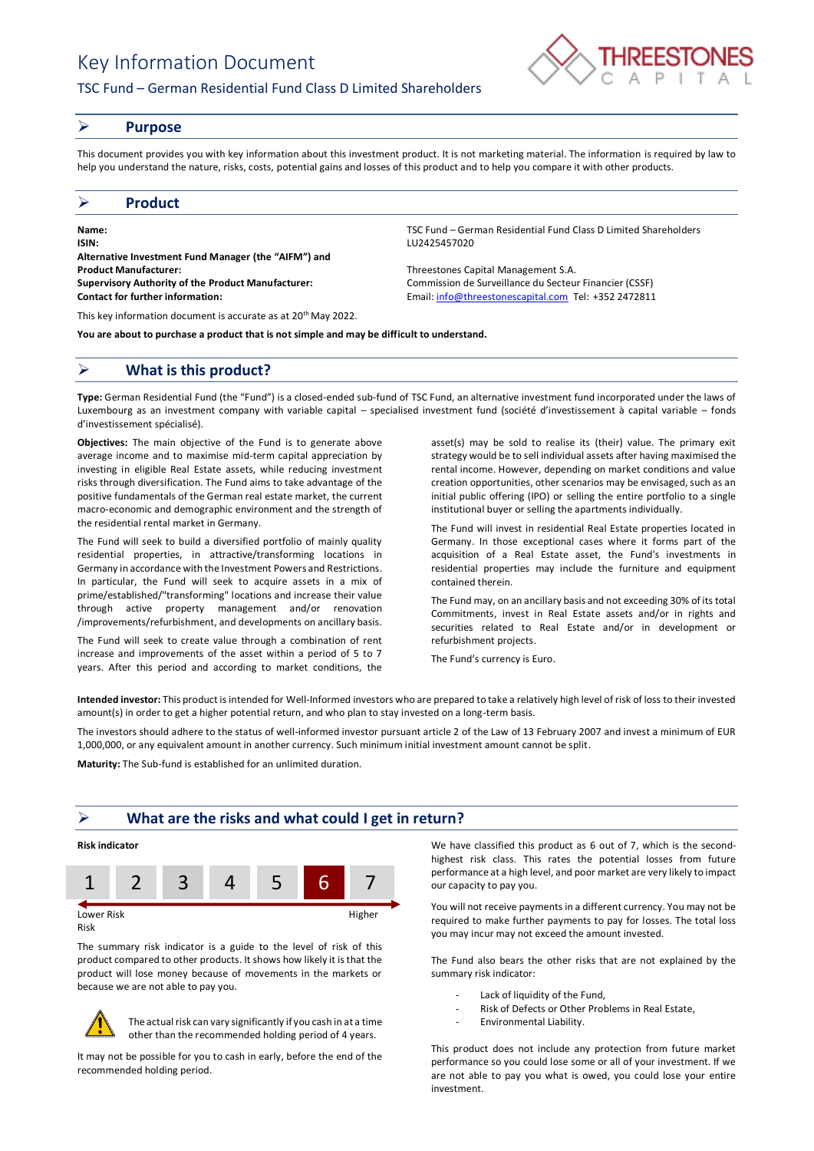# Key Information Document

# TSC Fund – German Residential Fund Class D Limited Shareholders



### ➢ **Purpose**

This document provides you with key information about this investment product. It is not marketing material. The information is required by law to help you understand the nature, risks, costs, potential gains and losses of this product and to help you compare it with other products.

## ➢ **Product**

**Name:** TSC Fund – German Residential Fund Class D Limited Shareholders **ISIN:** LU2425457020 **Alternative Investment Fund Manager (the "AIFM") and Product Manufacturer:** Threestones Capital Management S.A. **Supervisory Authority of the Product Manufacturer:** Commission de Surveillance du Secteur Financier (CSSF) **Contact for further information:** Email[: info@threestonescapital.com](mailto:info@threestonescapital.com) Tel: +352 2472811

This key information document is accurate as at 20th May 2022.

**You are about to purchase a product that is not simple and may be difficult to understand.**

# ➢ **What is this product?**

**Type:** German Residential Fund (the "Fund") is a closed-ended sub-fund of TSC Fund, an alternative investment fund incorporated under the laws of Luxembourg as an investment company with variable capital – specialised investment fund (société d'investissement à capital variable – fonds d'investissement spécialisé).

**Objectives:** The main objective of the Fund is to generate above average income and to maximise mid-term capital appreciation by investing in eligible Real Estate assets, while reducing investment risks through diversification. The Fund aims to take advantage of the positive fundamentals of the German real estate market, the current macro-economic and demographic environment and the strength of the residential rental market in Germany.

The Fund will seek to build a diversified portfolio of mainly quality residential properties, in attractive/transforming locations in Germany in accordance with the Investment Powers and Restrictions. In particular, the Fund will seek to acquire assets in a mix of prime/established/"transforming" locations and increase their value through active property management and/or renovation /improvements/refurbishment, and developments on ancillary basis.

The Fund will seek to create value through a combination of rent increase and improvements of the asset within a period of 5 to 7 years. After this period and according to market conditions, the

asset(s) may be sold to realise its (their) value. The primary exit strategy would be to sell individual assets after having maximised the rental income. However, depending on market conditions and value creation opportunities, other scenarios may be envisaged, such as an initial public offering (IPO) or selling the entire portfolio to a single institutional buyer or selling the apartments individually.

The Fund will invest in residential Real Estate properties located in Germany. In those exceptional cases where it forms part of the acquisition of a Real Estate asset, the Fund's investments in residential properties may include the furniture and equipment contained therein.

The Fund may, on an ancillary basis and not exceeding 30% of its total Commitments, invest in Real Estate assets and/or in rights and securities related to Real Estate and/or in development or refurbishment projects.

The Fund's currency is Euro.

**Intended investor:** This product is intended for Well-Informed investors who are prepared to take a relatively high level of risk of loss to their invested amount(s) in order to get a higher potential return, and who plan to stay invested on a long-term basis.

The investors should adhere to the status of well-informed investor pursuant article 2 of the Law of 13 February 2007 and invest a minimum of EUR 1,000,000, or any equivalent amount in another currency. Such minimum initial investment amount cannot be split.

**Maturity:** The Sub-fund is established for an unlimited duration.

# ➢ **What are the risks and what could I get in return?**

## **Risk indicator**



Risk

The summary risk indicator is a guide to the level of risk of this product compared to other products. It shows how likely it is that the product will lose money because of movements in the markets or because we are not able to pay you.



The actual risk can vary significantly if you cash in at a time other than the recommended holding period of 4 years.

It may not be possible for you to cash in early, before the end of the recommended holding period.

We have classified this product as 6 out of 7, which is the secondhighest risk class. This rates the potential losses from future performance at a high level, and poor market are very likely to impact our capacity to pay you.

You will not receive payments in a different currency. You may not be required to make further payments to pay for losses. The total loss you may incur may not exceed the amount invested.

The Fund also bears the other risks that are not explained by the summary risk indicator:

- Lack of liquidity of the Fund,
- Risk of Defects or Other Problems in Real Estate,
- Environmental Liability.

This product does not include any protection from future market performance so you could lose some or all of your investment. If we are not able to pay you what is owed, you could lose your entire investment.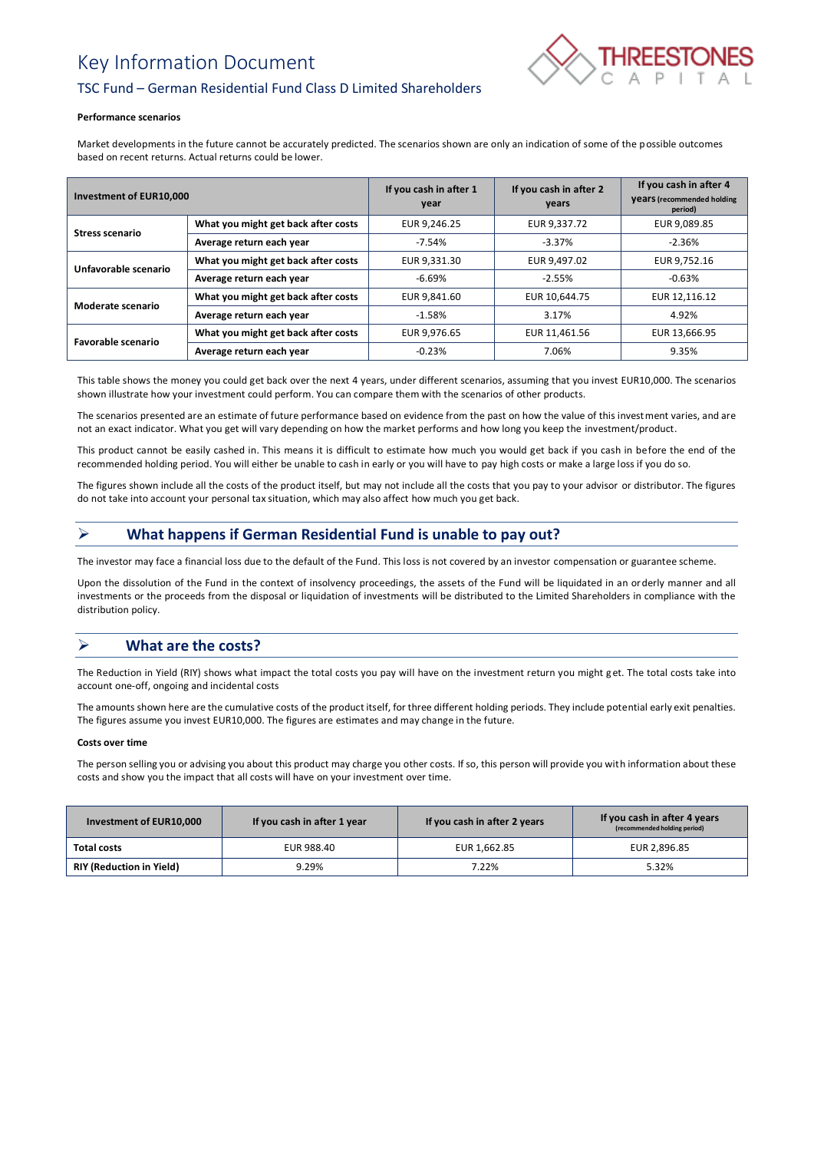# Key Information Document



# TSC Fund – German Residential Fund Class D Limited Shareholders

#### **Performance scenarios**

Market developments in the future cannot be accurately predicted. The scenarios shown are only an indication of some of the possible outcomes based on recent returns. Actual returns could be lower.

| Investment of EUR10,000 |                                     | If you cash in after 1<br>year | If you cash in after 2<br>years | If you cash in after 4<br><b>Vears</b> (recommended holding<br>period) |
|-------------------------|-------------------------------------|--------------------------------|---------------------------------|------------------------------------------------------------------------|
| <b>Stress scenario</b>  | What you might get back after costs | EUR 9,246.25                   | EUR 9,337.72                    | EUR 9,089.85                                                           |
|                         | Average return each year            | $-7.54%$                       | $-3.37%$                        | $-2.36%$                                                               |
| Unfavorable scenario    | What you might get back after costs | EUR 9.331.30                   | EUR 9,497.02                    | EUR 9.752.16                                                           |
|                         | Average return each year            | -6.69%                         | $-2.55%$                        | $-0.63%$                                                               |
| Moderate scenario       | What you might get back after costs | EUR 9.841.60                   | EUR 10,644.75                   | EUR 12,116.12                                                          |
|                         | Average return each year            | $-1.58%$                       | 3.17%                           | 4.92%                                                                  |
| Favorable scenario      | What you might get back after costs | EUR 9,976.65                   | EUR 11,461.56                   | EUR 13,666.95                                                          |
|                         | Average return each year            | $-0.23%$                       | 7.06%                           | 9.35%                                                                  |

This table shows the money you could get back over the next 4 years, under different scenarios, assuming that you invest EUR10,000. The scenarios shown illustrate how your investment could perform. You can compare them with the scenarios of other products.

The scenarios presented are an estimate of future performance based on evidence from the past on how the value of this investment varies, and are not an exact indicator. What you get will vary depending on how the market performs and how long you keep the investment/product.

This product cannot be easily cashed in. This means it is difficult to estimate how much you would get back if you cash in before the end of the recommended holding period. You will either be unable to cash in early or you will have to pay high costs or make a large loss if you do so.

The figures shown include all the costs of the product itself, but may not include all the costs that you pay to your advisor or distributor. The figures do not take into account your personal tax situation, which may also affect how much you get back.

# ➢ **What happens if German Residential Fund is unable to pay out?**

The investor may face a financial loss due to the default of the Fund. This loss is not covered by an investor compensation or guarantee scheme.

Upon the dissolution of the Fund in the context of insolvency proceedings, the assets of the Fund will be liquidated in an orderly manner and all investments or the proceeds from the disposal or liquidation of investments will be distributed to the Limited Shareholders in compliance with the distribution policy.

# ➢ **What are the costs?**

The Reduction in Yield (RIY) shows what impact the total costs you pay will have on the investment return you might get. The total costs take into account one-off, ongoing and incidental costs

The amounts shown here are the cumulative costs of the product itself, for three different holding periods. They include potential early exit penalties. The figures assume you invest EUR10,000. The figures are estimates and may change in the future.

### **Costs over time**

The person selling you or advising you about this product may charge you other costs. If so, this person will provide you with information about these costs and show you the impact that all costs will have on your investment over time.

| Investment of EUR10,000         | If you cash in after 1 year | If you cash in after 2 years | If you cash in after 4 years<br>(recommended holding period) |
|---------------------------------|-----------------------------|------------------------------|--------------------------------------------------------------|
| Total costs                     | EUR 988.40                  | EUR 1,662.85                 | EUR 2.896.85                                                 |
| <b>RIY (Reduction in Yield)</b> | 9.29%                       | 7.22%                        | 5.32%                                                        |